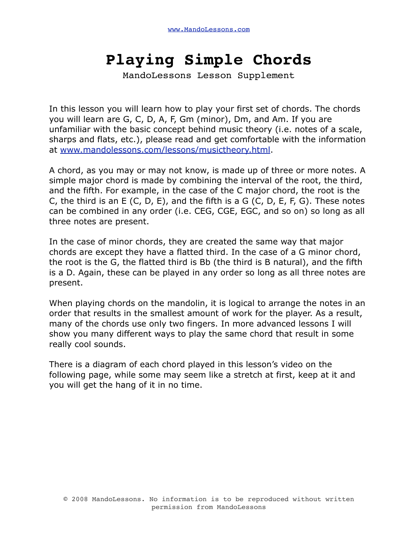## **Playing Simple Chords**

MandoLessons Lesson Supplement

In this lesson you will learn how to play your first set of chords. The chords you will learn are G, C, D, A, F, Gm (minor), Dm, and Am. If you are unfamiliar with the basic concept behind music theory (i.e. notes of a scale, sharps and flats, etc.), please read and get comfortable with the information at [www.mandolessons.com/lessons/musictheory.html](http://www.mandolessons.com/lessons/musictheory.html).

A chord, as you may or may not know, is made up of three or more notes. A simple major chord is made by combining the interval of the root, the third, and the fifth. For example, in the case of the C major chord, the root is the C, the third is an E (C, D, E), and the fifth is a G (C, D, E, F, G). These notes can be combined in any order (i.e. CEG, CGE, EGC, and so on) so long as all three notes are present.

In the case of minor chords, they are created the same way that major chords are except they have a flatted third. In the case of a G minor chord, the root is the G, the flatted third is Bb (the third is B natural), and the fifth is a D. Again, these can be played in any order so long as all three notes are present.

When playing chords on the mandolin, it is logical to arrange the notes in an order that results in the smallest amount of work for the player. As a result, many of the chords use only two fingers. In more advanced lessons I will show you many different ways to play the same chord that result in some really cool sounds.

There is a diagram of each chord played in this lesson's video on the following page, while some may seem like a stretch at first, keep at it and you will get the hang of it in no time.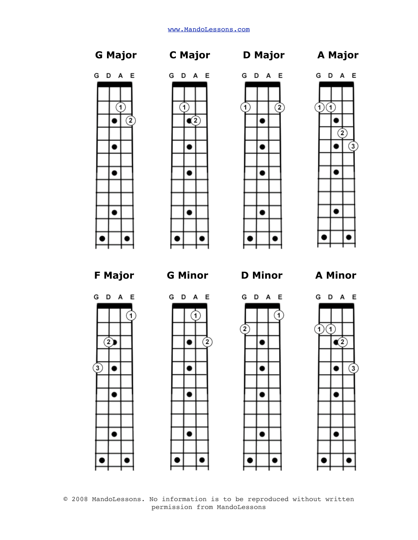















G D A E

 $(2)$ 

.

 $\bullet$ 

 $\bullet$ 

 $\bf(3)$ 

 $\left( 1\right)$ 

G D A E

 $\bullet$ 

●

 $\bullet$ 

 $\bullet$ 

 $(1)$ 

 $\widehat{\mathbf{2}}$